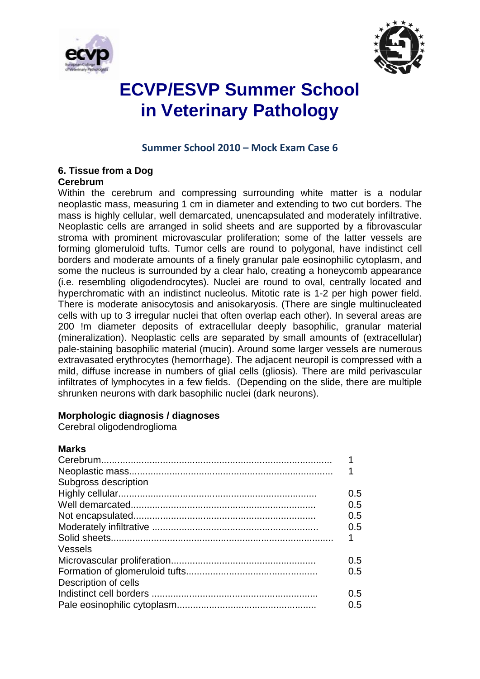



# **ECVP/ESVP Summer School in Veterinary Pathology**

#### **Summer School 2010 – Mock Exam Case 6**

### **6. Tissue from a Dog**

#### **Cerebrum**

Within the cerebrum and compressing surrounding white matter is a nodular neoplastic mass, measuring 1 cm in diameter and extending to two cut borders. The mass is highly cellular, well demarcated, unencapsulated and moderately infiltrative. Neoplastic cells are arranged in solid sheets and are supported by a fibrovascular stroma with prominent microvascular proliferation; some of the latter vessels are forming glomeruloid tufts. Tumor cells are round to polygonal, have indistinct cell borders and moderate amounts of a finely granular pale eosinophilic cytoplasm, and some the nucleus is surrounded by a clear halo, creating a honeycomb appearance (i.e. resembling oligodendrocytes). Nuclei are round to oval, centrally located and hyperchromatic with an indistinct nucleolus. Mitotic rate is 1-2 per high power field. There is moderate anisocytosis and anisokaryosis. (There are single multinucleated cells with up to 3 irregular nuclei that often overlap each other). In several areas are 200 !m diameter deposits of extracellular deeply basophilic, granular material (mineralization). Neoplastic cells are separated by small amounts of (extracellular) pale-staining basophilic material (mucin). Around some larger vessels are numerous extravasated erythrocytes (hemorrhage). The adjacent neuropil is compressed with a mild, diffuse increase in numbers of glial cells (gliosis). There are mild perivascular infiltrates of lymphocytes in a few fields. (Depending on the slide, there are multiple shrunken neurons with dark basophilic nuclei (dark neurons).

#### **Morphologic diagnosis / diagnoses**

Cerebral oligodendroglioma

#### **Marks**

| Subgross description |     |
|----------------------|-----|
|                      | 0.5 |
|                      | 0.5 |
|                      | 0.5 |
|                      | 0.5 |
|                      |     |
| Vessels              |     |
|                      | 0.5 |
|                      | 0.5 |
| Description of cells |     |
|                      | 0.5 |
|                      | 0.5 |